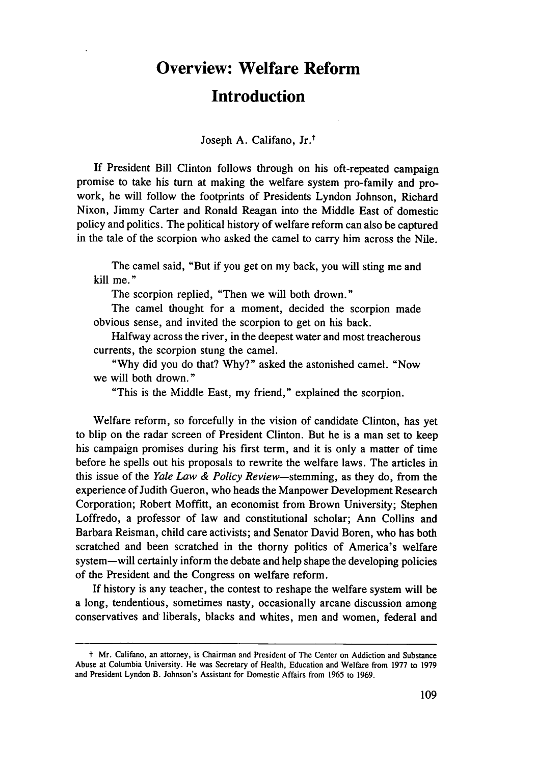## **Overview: Welfare Reform Introduction**

## Joseph A. Califano, Jr.<sup>†</sup>

**If** President Bill Clinton follows through on his oft-repeated campaign promise to take his turn at making the welfare system pro-family and prowork, he will follow the footprints of Presidents Lyndon Johnson, Richard Nixon, Jimmy Carter and Ronald Reagan into the Middle East of domestic policy and politics. The political history of welfare reform can also be captured in the tale of the scorpion who asked the camel to carry him across the Nile.

The camel said, "But if you get on my back, you will sting me and kill me."

The scorpion replied, "Then we will both drown."

The camel thought for a moment, decided the scorpion made obvious sense, and invited the scorpion to get on his back.

Halfway across the river, in the deepest water and most treacherous currents, the scorpion stung the camel.

"Why did you do that? Why?" asked the astonished camel. "Now we will both drown."

"This is the Middle East, my friend," explained the scorpion.

Welfare reform, so forcefully in the vision of candidate Clinton, has yet to blip on the radar screen of President Clinton. But he is a man set to keep his campaign promises during his first term, and it is only a matter of time before he spells out his proposals to rewrite the welfare laws. The articles in this issue of the *Yale Law & Policy* Review-stemming, as they do, from the experience of Judith Gueron, who heads the Manpower Development Research Corporation; Robert Moffitt, an economist from Brown University; Stephen Loffredo, a professor of law and constitutional scholar; Ann Collins and Barbara Reisman, child care activists; and Senator David Boren, who has both scratched and been scratched in the thorny politics of America's welfare system-will certainly inform the debate and help shape the developing policies of the President and the Congress on welfare reform.

If history is any teacher, the contest to reshape the welfare system will be a long, tendentious, sometimes nasty, occasionally arcane discussion among conservatives and liberals, blacks and whites, men and women, federal and

t Mr. Califano, an attorney, is Chairman and President of The Center on Addiction and Substance Abuse at Columbia University. He was Secretary of Health, Education and Welfare from 1977 to 1979 and President Lyndon B. Johnson's Assistant for Domestic Affairs from 1965 to 1969.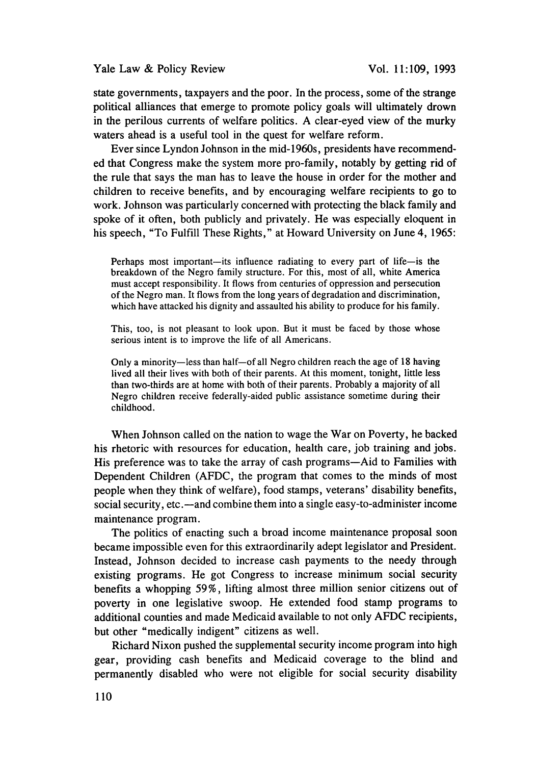state governments, taxpayers and the poor. In the process, some of the strange political alliances that emerge to promote policy goals will ultimately drown in the perilous currents of welfare politics. A clear-eyed view of the murky waters ahead is a useful tool in the quest for welfare reform.

Ever since Lyndon Johnson in the mid-1960s, presidents have recommended that Congress make the system more pro-family, notably by getting rid of the rule that says the man has to leave the house in order for the mother and children to receive benefits, and by encouraging welfare recipients to go to work. Johnson was particularly concerned with protecting the black family and spoke of it often, both publicly and privately. He was especially eloquent in his speech, "To Fulfill These Rights," at Howard University on June 4, 1965:

Perhaps most important-its influence radiating to every part of life-is the breakdown of the Negro family structure. For this, most of all, white America must accept responsibility. It flows from centuries of oppression and persecution of the Negro man. It flows from the long years of degradation and discrimination, which have attacked his dignity and assaulted his ability to produce for his family.

This, too, is not pleasant to look upon. But it must be faced by those whose serious intent is to improve the life of all Americans.

Only a minority-less than half-of all Negro children reach the age of 18 having lived all their lives with both of their parents. At this moment, tonight, little less than two-thirds are at home with both of their parents. Probably a majority of all Negro children receive federally-aided public assistance sometime during their childhood.

When Johnson called on the nation to wage the War on Poverty, he backed his rhetoric with resources for education, health care, job training and jobs. His preference was to take the array of cash programs—Aid to Families with Dependent Children (AFDC, the program that comes to the minds of most people when they think of welfare), food stamps, veterans' disability benefits, social security, etc.—and combine them into a single easy-to-administer income maintenance program.

The politics of enacting such a broad income maintenance proposal soon became impossible even for this extraordinarily adept legislator and President. Instead, Johnson decided to increase cash payments to the needy through existing programs. He got Congress to increase minimum social security benefits a whopping 59%, lifting almost three million senior citizens out of poverty in one legislative swoop. He extended food stamp programs to additional counties and made Medicaid available to not only AFDC recipients, but other "medically indigent" citizens as well.

Richard Nixon pushed the supplemental security income program into high gear, providing cash benefits and Medicaid coverage to the blind and permanently disabled who were not eligible for social security disability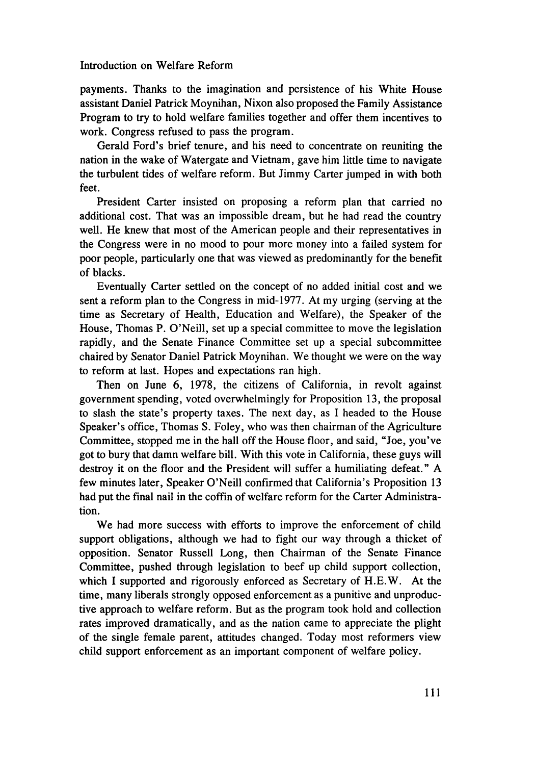## Introduction on Welfare Reform

payments. Thanks to the imagination and persistence of his White House assistant Daniel Patrick Moynihan, Nixon also proposed the Family Assistance Program to try to hold welfare families together and offer them incentives to work. Congress refused to pass the program.

Gerald Ford's brief tenure, and his need to concentrate on reuniting the nation in the wake of Watergate and Vietnam, gave him little time to navigate the turbulent tides of welfare reform. But Jimmy Carter jumped in with both feet.

President Carter insisted on proposing a reform plan that carried no additional cost. That was an impossible dream, but he had read the country well. He knew that most of the American people and their representatives in the Congress were in no mood to pour more money into a failed system for poor people, particularly one that was viewed as predominantly for the benefit of blacks.

Eventually Carter settled on the concept of no added initial cost and we sent a reform plan to the Congress in mid-1977. At my urging (serving at the time as Secretary of Health, Education and Welfare), the Speaker of the House, Thomas P. O'Neill, set up a special committee to move the legislation rapidly, and the Senate Finance Committee set up a special subcommittee chaired by Senator Daniel Patrick Moynihan. We thought we were on the way to reform at last. Hopes and expectations ran high.

Then on June 6, 1978, the citizens of California, in revolt against government spending, voted overwhelmingly for Proposition 13, the proposal to slash the state's property taxes. The next day, as I headed to the House Speaker's office, Thomas S. Foley, who was then chairman of the Agriculture Committee, stopped me in the hall off the House floor, and said, "Joe, you've got to bury that damn welfare bill. With this vote in California, these guys will destroy it on the floor and the President will suffer a humiliating defeat." A few minutes later, Speaker O'Neill confirmed that California's Proposition 13 had put the final nail in the coffin of welfare reform for the Carter Administration.

We had more success with efforts to improve the enforcement of child support obligations, although we had to fight our way through a thicket of opposition. Senator Russell Long, then Chairman of the Senate Finance Committee, pushed through legislation to beef up child support collection, which I supported and rigorously enforced as Secretary of H.E.W. At the time, many liberals strongly opposed enforcement as a punitive and unproductive approach to welfare reform. But as the program took hold and collection rates improved dramatically, and as the nation came to appreciate the plight of the single female parent, attitudes changed. Today most reformers view child support enforcement as an important component of welfare policy.